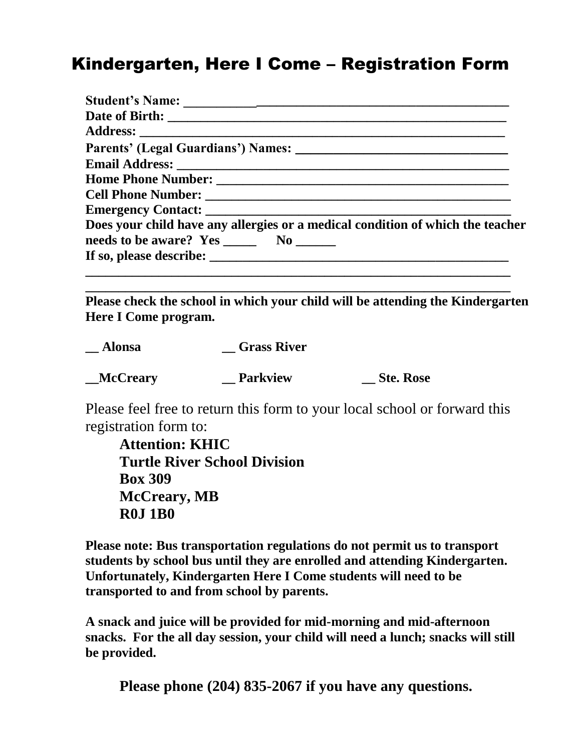# Kindergarten, Here I Come – Registration Form

| Does your child have any allergies or a medical condition of which the teacher |
|--------------------------------------------------------------------------------|
|                                                                                |

**Please check the school in which your child will be attending the Kindergarten Here I Come program.**

**\_\_\_\_\_\_\_\_\_\_\_\_\_\_\_\_\_\_\_\_\_\_\_\_\_\_\_\_\_\_\_\_\_\_\_\_\_\_\_\_\_\_\_\_\_\_\_\_\_\_\_\_\_\_\_\_\_\_\_\_\_\_\_\_**

| <b>Alonsa</b>   | <b>Grass River</b> |                  |
|-----------------|--------------------|------------------|
| <b>McCreary</b> | <b>Parkview</b>    | <b>Ste. Rose</b> |

Please feel free to return this form to your local school or forward this registration form to:

**Attention: KHIC Turtle River School Division Box 309 McCreary, MB R0J 1B0**

**Please note: Bus transportation regulations do not permit us to transport students by school bus until they are enrolled and attending Kindergarten. Unfortunately, Kindergarten Here I Come students will need to be transported to and from school by parents.** 

**A snack and juice will be provided for mid-morning and mid-afternoon snacks. For the all day session, your child will need a lunch; snacks will still be provided.**

**Please phone (204) 835-2067 if you have any questions.**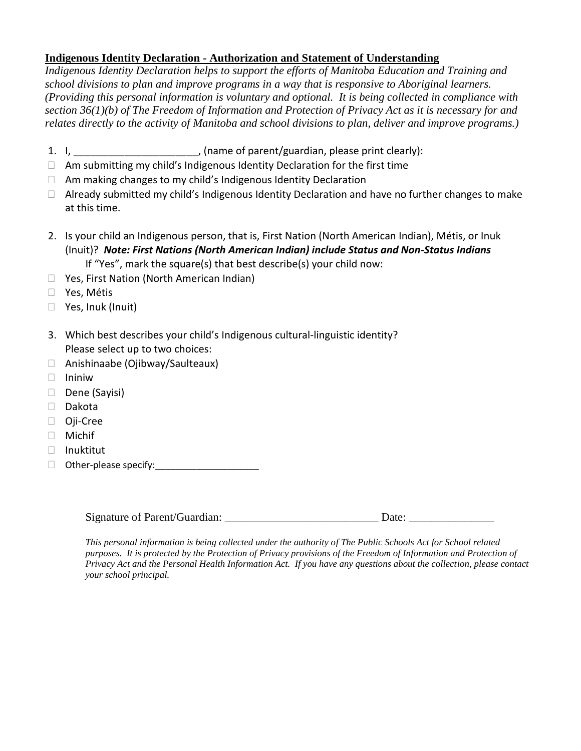#### **Indigenous Identity Declaration - Authorization and Statement of Understanding**

*Indigenous Identity Declaration helps to support the efforts of Manitoba Education and Training and school divisions to plan and improve programs in a way that is responsive to Aboriginal learners. (Providing this personal information is voluntary and optional. It is being collected in compliance with section 36(1)(b) of The Freedom of Information and Protection of Privacy Act as it is necessary for and relates directly to the activity of Manitoba and school divisions to plan, deliver and improve programs.)*

- 1. I, \_\_\_\_\_\_\_\_\_\_\_\_\_\_\_\_\_\_\_\_\_\_\_\_, (name of parent/guardian, please print clearly):
- $\Box$  Am submitting my child's Indigenous Identity Declaration for the first time
- $\Box$  Am making changes to my child's Indigenous Identity Declaration
- $\Box$  Already submitted my child's Indigenous Identity Declaration and have no further changes to make at this time.
- 2. Is your child an Indigenous person, that is, First Nation (North American Indian), Métis, or Inuk (Inuit)? *Note: First Nations (North American Indian) include Status and Non-Status Indians* If "Yes", mark the square(s) that best describe(s) your child now:
- □ Yes, First Nation (North American Indian)
- Yes, Métis
- □ Yes, Inuk (Inuit)
- 3. Which best describes your child's Indigenous cultural-linguistic identity? Please select up to two choices:
- Anishinaabe (Ojibway/Saulteaux)
- $\Box$  Ininiw
- $\Box$  Dene (Sayisi)
- Dakota
- Oji-Cree
- Michif
- Inuktitut
- $\Box$  Other-please specify:

Signature of Parent/Guardian:  $\Box$  Date:

*This personal information is being collected under the authority of The Public Schools Act for School related purposes. It is protected by the Protection of Privacy provisions of the Freedom of Information and Protection of Privacy Act and the Personal Health Information Act. If you have any questions about the collection, please contact your school principal.*